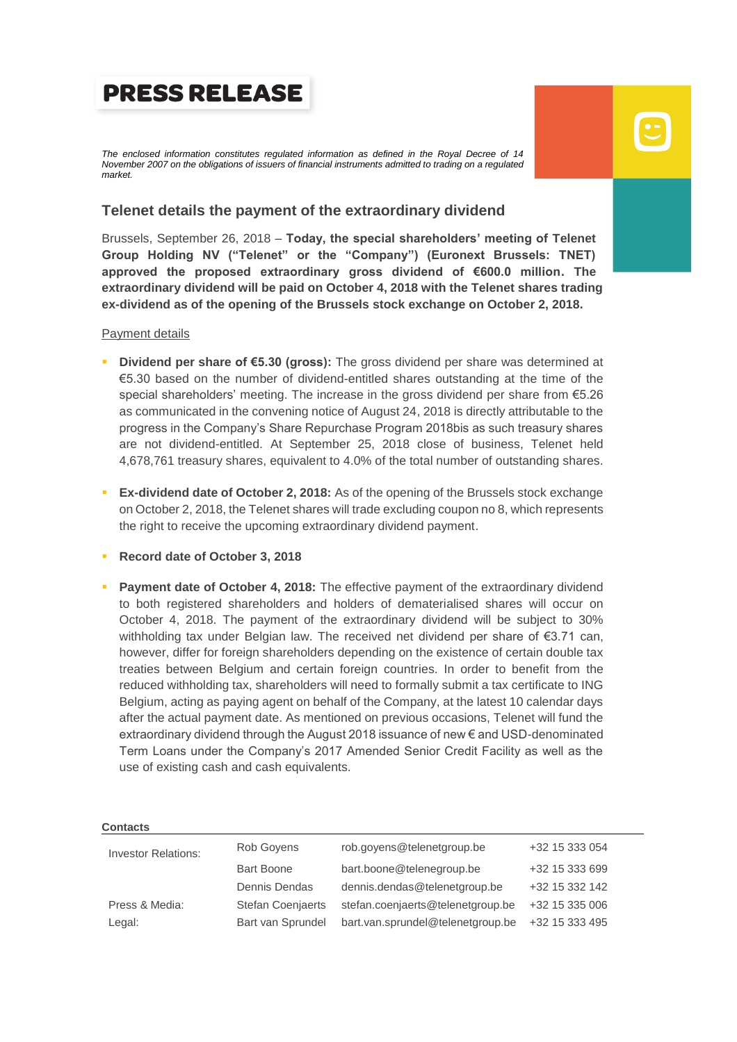## **PRESS RELEASE**

*The enclosed information constitutes regulated information as defined in the Royal Decree of 14 November 2007 on the obligations of issuers of financial instruments admitted to trading on a regulated market.*

## **Telenet details the payment of the extraordinary dividend**

Brussels, September 26, 2018 – **Today, the special shareholders' meeting of Telenet Group Holding NV ("Telenet" or the "Company") (Euronext Brussels: TNET) approved the proposed extraordinary gross dividend of €600.0 million. The extraordinary dividend will be paid on October 4, 2018 with the Telenet shares trading ex-dividend as of the opening of the Brussels stock exchange on October 2, 2018.**

## Payment details

- **Dividend per share of €5.30 (gross):** The gross dividend per share was determined at €5.30 based on the number of dividend-entitled shares outstanding at the time of the special shareholders' meeting. The increase in the gross dividend per share from €5.26 as communicated in the convening notice of August 24, 2018 is directly attributable to the progress in the Company's Share Repurchase Program 2018bis as such treasury shares are not dividend-entitled. At September 25, 2018 close of business, Telenet held 4,678,761 treasury shares, equivalent to 4.0% of the total number of outstanding shares.
- **Ex-dividend date of October 2, 2018:** As of the opening of the Brussels stock exchange on October 2, 2018, the Telenet shares will trade excluding coupon no 8, which represents the right to receive the upcoming extraordinary dividend payment.
- **Record date of October 3, 2018**
- **Payment date of October 4, 2018:** The effective payment of the extraordinary dividend to both registered shareholders and holders of dematerialised shares will occur on October 4, 2018. The payment of the extraordinary dividend will be subject to 30% withholding tax under Belgian law. The received net dividend per share of €3.71 can, however, differ for foreign shareholders depending on the existence of certain double tax treaties between Belgium and certain foreign countries. In order to benefit from the reduced withholding tax, shareholders will need to formally submit a tax certificate to ING Belgium, acting as paying agent on behalf of the Company, at the latest 10 calendar days after the actual payment date. As mentioned on previous occasions, Telenet will fund the extraordinary dividend through the August 2018 issuance of new € and USD-denominated Term Loans under the Company's 2017 Amended Senior Credit Facility as well as the use of existing cash and cash equivalents.

## **Contacts**

| <b>Investor Relations:</b> | <b>Rob Govens</b>        | rob.goyens@telenetgroup.be        | +32 15 333 054 |
|----------------------------|--------------------------|-----------------------------------|----------------|
|                            | <b>Bart Boone</b>        | bart.boone@telenegroup.be         | +32 15 333 699 |
|                            | Dennis Dendas            | dennis.dendas@telenetgroup.be     | +32 15 332 142 |
| Press & Media:             | <b>Stefan Coenjaerts</b> | stefan.coenjaerts@telenetgroup.be | +32 15 335 006 |
| Legal:                     | Bart van Sprundel        | bart.van.sprundel@telenetgroup.be | +32 15 333 495 |